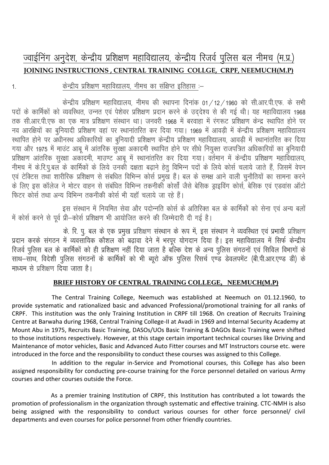# ज्वाईनिंग अनुदेश, केन्द्रीय प्रशिक्षण महाविद्यालय, केन्द्रीय रिजर्व पुलिस बल नीमच (म.प्र.) **IOINING INSTRUCTIONS, CENTRAL TRAINING COLLGE, CRPF, NEEMUCH(M.P)**

#### $1.$

केन्द्रीय प्रशिक्षण महाविद्यालय, नीमच का संक्षिप्त इतिहास :-

केन्द्रीय प्रशिक्षण महाविद्यालय, नीमच की स्थापना दिनांक 01/12/1960 को सी.आर.पी.एफ. के सभी पदों के कार्मिकों को व्यवस्थित, उन्नत एवं पेशेवर प्रशिक्षण प्रदान करने के उददेश्य से की गई थी। यह महाविद्यालय 1968 तक सी.आर.पी.एफ का एक मात्र प्रशिक्षण संस्थान था। जनवरी 1968 में बरवाहा में रंगरूट प्रशिक्षण केन्द्र स्थापित होने पर नव आरक्षियों का बनियादी प्रशिक्षण वहां पर स्थानांतरित कर दिया गया। 1969 में आवड़ी में केन्द्रीय प्रशिक्षण महाविद्यालय स्थापित होने पर अधीनस्थ अधिकारियों का बुनियादी प्रशिक्षण केन्द्रीय प्रशिक्षण महाविद्यालय, आवड़ी में स्थानांतरित कर दिया गया और 1975 में माउंट आबू में आंतरिक सुरक्षा अकादमी स्थापित होने पर सीधे नियुक्त राजपत्रित अधिकारियों का बुनियादी प्रशिक्षण आंतरिक सुरक्षा अकादमी, माउण्ट आबू में स्थानांतरित कर दिया गया। वर्तमान में केन्द्रीय प्रशिक्षण महाविद्यालय, नीमच में के.रि.पु.बल के कार्मिकों के लिये उनकों दक्षता बढ़ाने हेतु विभिन्न पदों के लिये कोर्स चलाये जाते हैं, जिसमें वेपन एवं टेक्टिस तथा शारीरिक प्रशिक्षण से संबधित विभिन्न कोर्स प्रमुख हैं। बल के समक्ष आने वाली चुनौतियों का सामना करने के लिए इस कॉलेज ने मोटर वाहन से संबंधित विभिन्न तकनीकी कोर्सों जैसे बेसिक ड्राइविंग कोर्स, बेसिक एवं एडवांस ऑटो फिटर कोर्स तथा अन्य विभिन्न तकनीकी कोर्स भी यहाँ चलाये जा रहे हैं।

इस संस्थान में नियमित सेवा और पदोन्नति कोर्स के अतिरिक्त बल के कार्मिकों को सेना एवं अन्य बलों .<br>में कोर्स करने से पूर्व प्री–कोर्स प्रशिक्षण भी आयोजित करने की जिम्मेदारी दी गई है।

के. रि. पु. बल के एक प्रमुख प्रशिक्षण संस्थान के रूप में, इस संस्थान ने व्यवस्थित एवं प्रभावी प्रशिक्षण प्रदान करके संगठन में व्यवसायिक कौशल को बढ़ावा देने में भरपूर योगदान दिया है। इस महाविद्यालय में सिर्फ केन्द्रीय रिजर्व पुलिस बल के कार्मिकों को ही प्रशिक्षण नहीं दिया जाता है बल्कि देश के अन्य पुलिस संगठनों एवं सिविल विभागों के साथ–साथ, विदेशी पुलिस संगठनों के कार्मिकों को भी ब्यूरो ऑफ पुलिस रिसर्च एण्ड डेवलपमेंट (बी.पी.आर.एण्ड डी) के माध्यम से पशिक्षण दिया जाता है।

#### BRIEF HISTORY OF CENTRAL TRAINING COLLEGE, NEEMUCH(M.P)

The Central Training College, Neemuch was established at Neemuch on 01.12.1960, to provide systematic and rationalized basic and advanced Professional/promotional training for all ranks of CRPF. This institution was the only Training Institution in CRPF till 1968. On creation of Recruits Training Centre at Barwaha during 1968, Central Training College-II at Avadi in 1969 and Internal Security Academy at Mount Abu in 1975, Recruits Basic Training, DASOs/UOs Basic Training & DAGOs Basic Training were shifted to those institutions respectively. However, at this stage certain important technical courses like Driving and Maintenance of motor vehicles, Basic and Advanced Auto Fitter courses and MT Instructors course etc. were introduced in the force and the responsibility to conduct these courses was assigned to this College.

In addition to the regular in-Service and Promotional courses, this College has also been assigned responsibility for conducting pre-course training for the Force personnel detailed on various Army courses and other courses outside the Force.

As a premier training Institution of CRPF, this Institution has contributed a lot towards the promotion of professionalism in the organization through systematic and effective training. CTC-NMH is also being assigned with the responsibility to conduct various courses for other force personnel/ civil departments and even courses for police personnel from other friendly countries.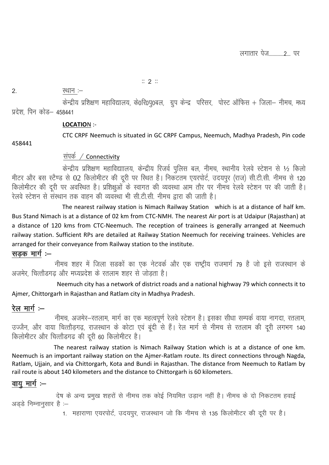#### $\mathbb{Z}/2$   $\mathbb{Z}$

#### 2- LFkku %&

केन्द्रीय प्रशिक्षण महाविद्यालय, के0रि0प्0बल, ग्रुप केन्द्र परिसर, पोस्ट ऑफिस + जिला– नीमच, मध्य प्रदेश, पिन कोड— 45844<mark>1</mark> ×<br>X

#### **LOCATIO**N :-

458441

CTC CRPF Neemuch is situated in GC CRPF Campus, Neemuch, Madhya Pradesh, Pin code

#### संपर्क $\angle$  Connectivity

केन्द्रीय प्रशिक्षण महाविद्याालय, केन्द्रीय रिजर्व पुलिस बल, नीमच, स्थानीय रेलवे स्टेशन से  $1/2$  किलो मीटर और बस स्टैण्ड से 02 किलोमीटर की दूरी पर स्थित है। निकटतम एयरपोर्ट, उदयपुर (राज) सी.टी.सी. नीमच से 120 किलोमीटर की दूरी पर अवस्थित है। प्रशिक्षुओं के स्वागत की व्यवस्था आम तौर पर नीमच रेलवे स्टेशन पर की जाती है। रेलवे स्टेशन से संस्थान तक वाहन की व्यवस्था भी सी.टी.सी. नीमच द्वारा की जाती है।

 The nearest railway station is Nimach Railway Station which is at a distance of half km. Bus Stand Nimach is at a distance of 02 km from CTC-NMH. The nearest Air port is at Udaipur (Rajasthan) at a distance of 120 kms from CTC-Neemuch. The reception of trainees is generally arranged at Neemuch railway station. Sufficient RPs are detailed at Railway Station Neemuch for receiving trainees. Vehicles are arranged for their conveyance from Railway station to the institute.

#### सड़क मार्ग  $-$

नीमच शहर में जिला सडकों का एक नेटवर्क और एक राष्ट्रीय राजमार्ग 79 है जो इसे राजस्थान के अजमेर, चित्तौडगढ और मध्यप्रदेश के रतलाम शहर से जोडता है।

 Neemuch city has a network of district roads and a national highway 79 which connects it to Ajmer, Chittorgarh in Rajasthan and Ratlam city in Madhya Pradesh.

## रेल मार्ग $:=$

नीमच, अजमेर—रतलाम, मार्ग का एक महत्वपूर्ण रेलवे स्टेशन है। इसका सीधा सम्पर्क वाया नागदा, रतलाम, उज्जैन, और वाया चित्तौड़गढ़, राजस्थान के कोटा एवं बूंदी से हैं। रेल मार्ग से नीमच से रतलाम की दूरी लगभग 140 किलोमीटर और चित्तोडगढ की दूरी 60 किलोमीटर है।

 The nearest railway station is Nimach Railway Station which is at a distance of one km. Neemuch is an important railway station on the Ajmer-Ratlam route. Its direct connections through Nagda, Ratlam, Ujjain, and via Chittorgarh, Kota and Bundi in Rajasthan. The distance from Neemuch to Ratlam by rail route is about 140 kilometers and the distance to Chittorgarh is 60 kilometers.

## वाय $\,$  मार्ग $\,$  : $\,-$

देष के अन्य प्रमुख शहरों से नीमच तक कोई नियमित उड़ान नहीं है। नीमच के दो निकटतम हवाई अडडे निम्नानुसार है $\,$ : $\!-$ 

1. महाराणा एयरपोर्ट, उदयपुर, राजस्थान जो कि नीमच से 135 किलोमीटर की दूरी पर है।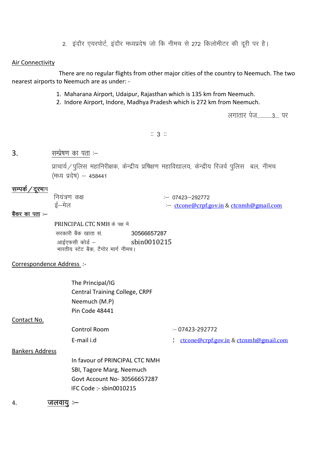2. इंदौर एयरपोर्ट, इंदौर मध्यप्रदेष जो कि नीमच से 272 किलोमीटर की दूरी पर है।

#### Air Connectivity

 There are no regular flights from other major cities of the country to Neemuch. The two nearest airports to Neemuch are as under: -

- 1. Maharana Airport, Udaipur, Rajasthan which is 135 km from Neemuch.
- 2. Indore Airport, Indore, Madhya Pradesh which is 272 km from Neemuch.

लगातार पेज............3... पर

#### $:: 3 ::$

 $3.$  are  $\overline{R}$  with  $\overline{R}$  and  $\overline{R}$  in  $\overline{R}$ 

प्राचार्य/पुलिस महानिरीक्षक, केन्द्रीय प्रषिक्षण महाविद्यालय, केन्द्रीय रिजर्व पुलिस) बल, नीमच (मध्य प्रदेष) - 458441

#### सम्पर्क / दूरभाष

| नियंत्रण कक्ष | :— 07423—292772                              |
|---------------|----------------------------------------------|
| ई—मेल         | $\div$ ctcone@crpf.gov.in & ctcnmh@gmail.com |

# <u>बैंकर का पता</u> :–

PRINCIPAL CTC NMH के पक्ष में

सरकारी बैंक खाता सं. 10566657287 आईएफसी कोर्ड –  $\sin 0010215$ भारतीय स्टेट बैक, टैगोर मार्ग नीमच।

#### Correspondence Address :-

| The Principal/IG                      |  |
|---------------------------------------|--|
| <b>Central Training College, CRPF</b> |  |
| Neemuch (M.P)                         |  |
| Pin Code 48441                        |  |

Contact No.

 $Control$  Room  $-07423-292772$ E-mail i.d  $\cdot$  [ctcone@crpf.gov.in](mailto:ctcone@crpf.gov.in) [& ctcnmh@gmail.com](mailto:ctcnmh@gmail.com) Bankers Address In favour of PRINCIPAL CTC NMH SBI, Tagore Marg, Neemuch Govt Account No- 30566657287 IFC Code :- sbin0010215

 $4.$   $\overline{\text{v}}$   $\overline{\text{v}}$   $\overline{\text{v}}$   $\overline{\text{v}}$   $\overline{\text{v}}$   $\overline{\text{v}}$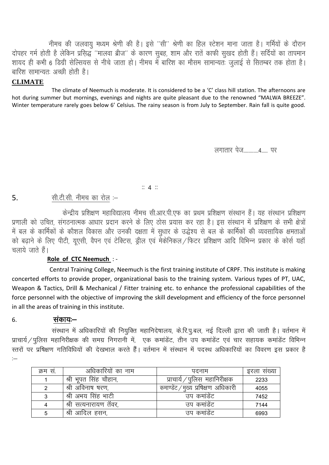नीमच की जलवायु मध्यम श्रेणी की है। इसे ''सी'' श्रेणी का हिल स्टेशन माना जाता है। गर्मियों के दौरान दोपहर गर्म होती है लेकिन प्रसिद्ध ''मालवा ब्रीज'' के कारण सुबह, शाम और रातें काफी सुखद होती हैं। सर्दियों का तापमान शायद ही कभी 6 डिग्री सेल्सियंस से नीचे जाता हो। नीमच में बारिश का मौसम सामान्यतः जुलाई से सितम्बर तक होता है। बारिश सामान्यत: अच्छी होती है।

#### **CLIMATE**

The climate of Neemuch is moderate. It is considered to be a 'C' class hill station. The afternoons are hot during summer but mornings, evenings and nights are quite pleasant due to the renowned "MALWA BREEZE". Winter temperature rarely goes below 6' Celsius. The rainy season is from July to September. Rain fall is quite good.

लगातार पेज विद्यालय

#### $\mathbb{Z}$  4  $\mathbb{Z}$

#### सी.टी.सी. नीमच का रोल :- $5<sub>1</sub>$

केन्द्रीय प्रशिक्षण महाविद्यालय नीमच सी.आर.पी.एफ का प्रथम प्रशिक्षण संस्थान हैं। यह संस्थान प्रशिक्षण प्रणाली को उचित, संगठनात्मक आधार प्रदान करने के लिए ठोस प्रयास कर रहा है। इस संस्थान में प्रशिक्षण के सभी क्षेत्रों में बल के कार्मिकों के कौशल विकास और उनकी दक्षता में सुधार के उद्धेश्य से बल के कार्मिकों की व्यवसायिक क्षमताओं को बढ़ाने के लिए पीटी, यूएसी, वैपन एवं टेक्टिस, ड्रील एवं मेकेनिकल / फिटर प्रशिक्षण आदि विभिन्न प्रकार के कोर्स यहॉ चलाये जाते हैं।

## Role of CTC Neemuch : -

Central Training College, Neemuch is the first training institute of CRPF. This institute is making concerted efforts to provide proper, organizational basis to the training system. Various types of PT, UAC, Weapon & Tactics, Drill & Mechanical / Fitter training etc. to enhance the professional capabilities of the force personnel with the objective of improving the skill development and efficiency of the force personnel in all the areas of training in this institute.

#### संकायः– 6.

संस्थान में अधिकारियों की नियुक्ति महानिदेषालय, के.रि.पु.बल, नई दिल्ली द्वारा की जाती है। वर्तमान में प्राचार्य / पुलिस महानिरीक्षक की समग्र निगरानी में, एक कमांडेंट, तीन उप कमांडेंट एवं चार सहायक कमांडेंट विभिन्न स्तरों पर प्रषिक्षण गतिविधियों की देखभाल करते हैं। वर्तमान में संस्थान में पदस्थ अधिकारियों का विवरण इस प्रकार है  $\sim$ 

| क्रम स. | अधिकारियों का नाम     | पदनाम                                   | इरला सख्या |
|---------|-----------------------|-----------------------------------------|------------|
|         | श्री भूपत सिंह चौहान, | $\Delta$ पुलिस महानिरीक्षक<br>प्राचाय ⁄ | 2233       |
| 2       | श्री अविनाष षरण,      | 'मुख्य प्रषिक्षण अधिकारी<br>कमाण्डेट ,  | 4055       |
| 3       | श्री अभय सिंह भाटी    | उप कमांडेंट                             | 7452       |
|         | श्री सत्यनारायण तॅवर, | उप कमांडेंट                             | 7144       |
| 5       | श्री आदिल हसन,        | उप कमांडेंट                             | 6993       |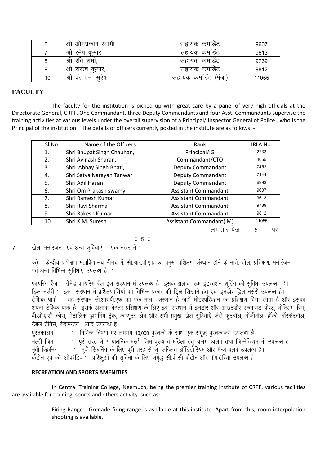| 6  | . श्री ओमप्रकाष स्वामा  | सहायक कमांडट            | 9607  |
|----|-------------------------|-------------------------|-------|
|    | । श्री रमेष कुमार,      | सहायक कमाडेट            | 9613  |
|    | श्री रवि शर्मा,         | सहायक कमाडेट            | 9739  |
| 9  | । श्री राकेष कुमार      | सहायक कमाडेट            | 9812  |
| 10 | श्री<br>क.<br>एम. सूरेष | सहायक कमाडेट<br>(मत्रा) | 11055 |

#### **FACULTY**

 The faculty for the institution is picked up with great care by a panel of very high officials at the Directorate General, CRPF. One Commandant. three Deputy Commandants and four Asst. Commandants supervise the training activities at various levels under the overall supervision of a Principal/ Inspector General of Police , who is the Principal of the institution. The details of officers currently posted in the institute are as follows: -

| Sl.No. | Name of the Officers       | Rank                        | IRLA No. |
|--------|----------------------------|-----------------------------|----------|
| 1.     | Shri Bhupat Singh Chauhan, | Principal/IG                | 2233     |
| 2.     | Shri Avinash Sharan,       | Commandant/CTO              | 4055     |
| 3.     | Shri Abhay Singh Bhati,    | Deputy Commandant           | 7452     |
| 4.     | Shri Satya Narayan Tanwar  | <b>Deputy Commandant</b>    | 7144     |
| 5.     | Shri Adil Hasan            | <b>Deputy Commandant</b>    | 6993     |
| 6.     | Shri Om Prakash swamy      | <b>Assistant Commandant</b> | 9607     |
| 7.     | Shri Ramesh Kumar          | <b>Assistant Commandant</b> | 9613     |
| 8.     | Shri Ravi Sharma           | <b>Assistant Commandant</b> | 9739     |
| 9.     | Shri Rakesh Kumar          | <b>Assistant Commandant</b> | 9812     |
| 10.    | Shri K.M. Suresh           | Assistant Commandant(M)     | 11055    |
|        |                            |                             |          |

लगातार पेज............5......... पर

#### $\mathbb{Z}$  5  $\mathbb{Z}$ 7.  $\frac{d}{dx}$  खेल, मनोरंजन एवं अन्य सविधाएं – एक नजर में :–

क) केन्द्रीय प्रशिक्षण महाविद्यालय नीमच में, सी.आर.पी.एफ का प्रमुख प्रशिक्षण संस्थान होने के नाते, खेल, प्रशिक्षण, मनोरंजन एवं अन्य विभिन्न सुविधाए उपलब्ध है :-

फायरिंग रैंज – ग्रेनेड फायरिंग रैंज इस संस्थान में उपलब्ध है। इसके अलावा रूम इंटरवेशन शटिंग की सविधा उपलब्ध है। ड़िल नर्सरी :- इस संस्थान में प्रशिक्षणार्थियों को विभिन्न प्रकार की ड्रिल सिखाने हेतु एक इनडोर ड्रिल नर्सरी उपलब्ध है। ट्रेफिक पार्क :– यह संस्थान सी.आर.पी.एफ का एक मात्र संस्थान है जहाँ मोटरपरिवहन का प्रशिक्षण दिया जाता है और इसका ्<br>अपना ट्रेफिक पार्क है। इसके अलावा बेहतर प्रशिक्षण के लिए इस संस्थान में इनडोर और आउटडोर स्कवायड पोस्ट, बॉक्सिंग रिंग बी.ओ.ए.सी कोर्स, मेटालिक ड्रायविंग ट्रेक, कम्प्यूटर लेब और सभी प्रमुख खेल सुविधाएँ जैसे फुटबॉल, वॉलीवॉल, हॉकी, बॉस्केटवॉल, ,<br>टेबल टेनिस बेडमिन्टन आदि उपलब्ध है।

पुस्तकालय विभिन्न विषयों पर लगभग 10,000 पुस्तकों के साथ एक समृद्ध पुस्तकालय उपलब्ध है। -<br>मल्टी जिम :– पूरी तरह से अत्याधुनिक मल्टी जिम पुरूष व महिला हेतु अलग-अलग तथा जिम्नेजियम भी उपलब्ध है। .<br>मुवी स्क्रिनिंग :– मुवी स्क्रिनिंग के लिए पूरी तरह से सु–सज्जित ऑडिटोरियम और मैन्स क्लब उपलब्ध है। केंटीन एवं को—ऑपरेटिव :— प्रशिक्षुओं की सुविधा के लिए समुद्ध सी.पी.सी केंटीन और कैफटेरिया उपलब्ध है।

#### **RECREATION AND SPORTS AMENITIES**

 In Central Training College, Neemuch, being the premier training institute of CRPF, various facilities are available for training, sports and others activity such as: -

> Firing Range - Grenade firing range is available at this institute. Apart from this, room interpolation shooting is available.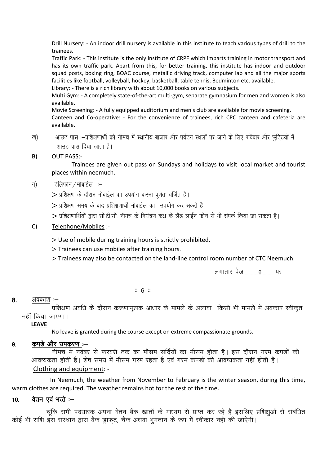Drill Nursery: - An indoor drill nursery is available in this institute to teach various types of drill to the trainees.

Traffic Park: - This institute is the only institute of CRPF which imparts training in motor transport and has its own traffic park. Apart from this, for better training, this institute has indoor and outdoor squad posts, boxing ring, BOAC course, metallic driving track, computer lab and all the major sports facilities like football, volleyball, hockey, basketball, table tennis, Bedminton etc. available.

Library: - There is a rich library with about 10,000 books on various subjects.

Multi Gym: - A completely state-of-the-art multi-gym, separate gymnasium for men and women is also available.

Movie Screening: - A fully equipped auditorium and men's club are available for movie screening. Canteen and Co-operative: - For the convenience of trainees, rich CPC canteen and cafeteria are available.

ख) आउट पास :-प्रशिक्षणार्थी को नीमच में स्थानीय बाजार और पर्यटन स्थलों पर जाने के लिए रविवार और छटिटयों में आउट पास दिया जाता है।

#### B) OUT PASS:-

Trainees are given out pass on Sundays and holidays to visit local market and tourist places within neemuch.

#### $\ket{\pi}$  added and  $\ket{\pi}$

 $>$  प्रशिक्षण के दौरान मोबाईल का उपयोग करना पूर्णतः वर्जित है।

- $>$  प्रशिक्षण समय के बाद प्रशिक्षणार्थी मोबाईल का उपयोग कर सकते है।
- $>$  प्रशिक्षणार्थियों द्वारा सी.टी.सी. नीमच के नियंत्रण कक्ष के लैंड लाईन फोन से भी संपर्क किया जा सकता है।

#### C) Telephone/Mobiles :-

- Use of mobile during training hours is strictly prohibited.
- > Trainees can use mobiles after training hours.
- Trainees may also be contacted on the land-line control room number of CTC Neemuch.

लगातार पेज............6......... पर

#### $\mathbb{Z}$  6  $\mathbb{Z}$

#### $8.$  अवकाश $-$

प्रशिक्षण अवधि के दौरान करूणामूलक आधार के मामले के अलावा किसी भी मामले में अवकाष स्वीकृत नहीं किया जाएगा।

#### **LEAVE**

No leave is granted during the course except on extreme compassionate grounds.

#### $9.$  कपडे और उपकरण :—

नीमच में नवंबर से फरवरी तक का मौसम सर्दियों का मौसम होता है। इस दौरान गरम कपड़ों की आवष्यकता होती है। शेष समय में मौसम गरम रहता है एवं गरम कपडों की आवष्यकता नहीं होती है। Clothing and equipment: -

 In Neemuch, the weather from November to February is the winter season, during this time, warm clothes are required. The weather remains hot for the rest of the time.

## 10. वेतन एवं भत्ते $\mathcal{L}$

चूंकि सभी पदधारक अपना वेतन बैंक खातों के माध्यम से प्राप्त कर रहे हैं इसलिए प्रशिक्षुओं से संबंधित कोई भी राशि इस संस्थान द्वारा बैंक डाफट, चैक अथवा भगतान के रूप में स्वीकार नही की जाऐगी।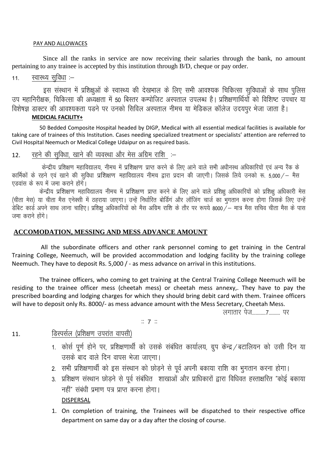#### PAY AND ALLOWACES

 Since all the ranks in service are now receiving their salaries through the bank, no amount pertaining to any trainee is accepted by this institution through B/D, cheque or pay order.

## $11.$  रवास्थ्य सविधा :–

इस संस्थान में प्रशिक्षुओं के स्वास्थ्य की देखभाल के लिए सभी आवश्यक चिकित्सा सुविधाओं के साथ पुलिस उप महानिरीक्षक, चिकित्सा की अध्यक्षता में 50 बिस्तर कम्पोजिट अस्पताल उपलब्ध है। प्रशिक्षणार्थियों को विशिष्ट उपचार या विशेषज्ञ डाक्टर की आवश्यकता पडने पर उनको सिविल अस्पताल नीमच या मेडिकल कॉलेज उदयपुर भेजा जाता है।

#### **MEDICIAL FACILITY+**

 50 Bedded Composite Hospital headed by DIGP, Medical with all essential medical facilities is available for taking care of trainees of this Institution. Cases needing specialized treatment or specialists' attention are referred to Civil Hospital Neemuch or Medical College Udaipur on as required basis.

## 12. रहने की सविधा, खाने की व्यवस्था और मेस अग्रिम राशि :–

केन्द्रीय प्रशिक्षण महाविद्यालय, नीमच में प्रशिक्षण प्राप्त करने के लिए आने वाले सभी अधीनस्थ अधिकारियों एवं अन्य रैंक के कार्मिकों के रहने एवं खाने की सविधा प्रशिक्षण महाविद्यालय नीमच द्वारा प्रदान की जाएगी। जिसके लिये उनको रू. 5,000⁄— मैस एडवांस के रूप में जमा कराने होंगे।

केन्द्रीय प्रशिक्षण महाविद्यालय नीमच में प्रशिक्षण प्राप्त करने के लिए आने वाले प्रशिक्षु अधिकारियों को प्रशिक्षु अधिकारी मेस (चीता मेस) या चीता मैस एनेक्सी में ठहराया जाएगा। उन्हें निर्धारित बोर्डिगं और लॉजिंग चार्ज का भगतान करना होगा जिसके लिए उन्हें ,<br>'डेबिट कार्ड अपने साथ लाना चाहिए। प्रशिक्ष अधिकारियों को मैस अग्रिम राशि के तौर पर रूपये 8000 / – मात्र मैस सचिव चीता मैस के पास त्तमा कराने होंगे।

#### **ACCOMODATION, MESSING AND MESS ADVANCE AMOUNT**

 All the subordinate officers and other rank personnel coming to get training in the Central Training College, Neemuch, will be provided accommodation and lodging facility by the training college Neemuch. They have to deposit Rs. 5,000 / - as mess advance on arrival in this institutions.

 The trainee officers, who coming to get training at the Central Training College Neemuch will be residing to the trainee officer mess (cheetah mess) or cheetah mess annexy,. They have to pay the prescribed boarding and lodging charges for which they should bring debit card with them. Trainee officers will have to deposit only Rs. 8000/- as mess advance amount with the Mess Secretary, Cheetah Mess.

लगातार पेज..........7........ पर

 $:: 7 ::$ 

## 11. FRAHIRIM (प्रशिक्षण उपरांत वापसी)

- 1. कोर्स पूर्ण होने पर, प्रशिक्षणार्थी को उसके संबंधित कार्यालय, ग्रुप केन्द्र / बटालियन को उसी दिन या उसके बाद वाले दिन वापस भेजा जाएगा।
- 2. सभी प्रशिक्षणार्थी को इस संस्थान को छोड़ने से पूर्व अपनी बकाया राशि का भुगतान करना होगा।
- 3. प्रशिक्षण संस्थान छोडने से पूर्व संबंधित) शाखाओं और प्राधिकारों द्वारा विधिवत हस्ताक्षरित "कोई बकाया नहीं" संबंधी प्रमाण पत्र प्राप्त करना होगा। DISPERSAL
- 1. On completion of training, the Trainees will be dispatched to their respective office department on same day or a day after the closing of course.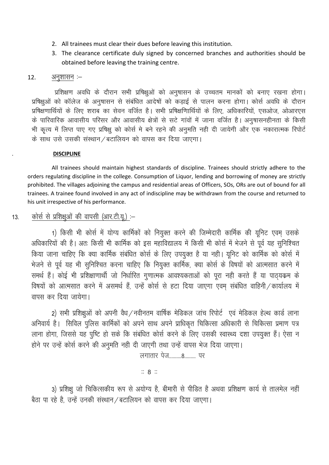- 2. All trainees must clear their dues before leaving this institution.
- 3. The clearance certificate duly signed by concerned branches and authorities should be obtained before leaving the training centre.

#### $12.$  अनुशासन $-$

प्रशिक्षण अवधि के दौरान सभी प्रषिक्षुओं को अनुषासन के उच्चतम मानकों को बनाए रखना होगा। प्रषिक्षओं को कॉलेज के अनुषासन से संबंधित आदेषों को कडाई से पालन करना होगा। कोर्स अवधि के दौरान प्रषिक्षणार्थियों के लिए शराब का सेवन वर्जित है। सभी प्रषिक्षणिार्थियों के लिए, अधिकारियों, एसओज, ओआरएस के पारिवारिक आवासीय परिसर और आवासीय क्षेत्रों से सटे गांवों में जाना वर्जित है। अनषासनहीनता के किसी भी कृत्य में लिप्त पाए गए प्रषिक्ष को कोर्स मे बने रहने की अनुमति नही दी जायेगी और एक नकारात्मक रिपोर्ट के साथ उसे उसकी संस्थान / बटालियन को वापस कर दिया जाएगा।

#### . **DISCIPLINE**

 All trainees should maintain highest standards of discipline. Trainees should strictly adhere to the orders regulating discipline in the college. Consumption of Liquor, lending and borrowing of money are strictly prohibited. The villages adjoining the campus and residential areas of Officers, SOs, ORs are out of bound for all trainees. A trainee found involved in any act of indiscipline may be withdrawn from the course and returned to his unit irrespective of his performance.

## 13. कोर्स से प्रशिक्षुओं की वापसी (आर.टी.यू.) :-

1) किसी भी कोर्स में योग्य कार्मिकों को नियुक्त करने की जिम्मेदारी कार्मिक की यूनिट एवम उसके अधिकारियों की है। अतः किसी भी कार्मिक को इस महाविद्यालय में किसी भी कोर्स में भेजने से पूर्व यह सुनिश्चित किया जाना चाहिए कि क्या कार्मिक संबंधित कोर्स के लिए उपयुक्त है या नहीं। यूनिट को कार्मिक को कोर्स में भेजने से पूर्व यह भी सुनिश्चित करना चाहिए कि नियुक्त कार्मिक, क्या कोर्स के विषयों को आत्मसात करने में समर्थ हैं। कोई भी प्रशिक्षाणार्थी जो निर्धारित गुणात्मक आवश्यकताओं को पूरा नही करते हैं या पाठ्यकम के विषयों को आत्मसात करने में असमर्थ हैं, उन्हें कोर्स से हटा दिया जाएगा एवम संबंधित वाहिनी / कार्यालय में वापस कर दिया जायेगा।

2) सभी प्रशिक्षओं को अपनी वैध⁄नवीनतम वार्षिक मेडिकल जांच रिपोर्ट एवं मेडिकल हेल्थ कार्ड लाना अनिवार्य है। सिविल पुलिस कार्मिकों को अपने साथ अपने प्राधिकृत चिकित्सा अधिकारी से चिकित्सा प्रमाण पत्र लाना होगा, जिससे यह पुष्टि हो सके कि संबंधित कोर्स करने के लिए उसकी स्वास्थ्य दशा उपयुक्त हैं। ऐसा न होने पर उन्हें कोर्स करने की अनुमति नही दी जाएगी तथा उन्हें वापस भेज दिया जाएगा।

लगातार पेज.........8........ पर

 $\mathbb{R}$  8  $\mathbb{R}$ 

3) प्रशिक्षु जो चिकित्सकीय रूप से अयोग्य है, बीमारी से पीडित है अथवा प्रशिक्षण कार्य से तालमेल नहीं बैठा पा रहे है, उन्हें उनकी संस्थान / बटालियन को वापस कर दिया जाएगा।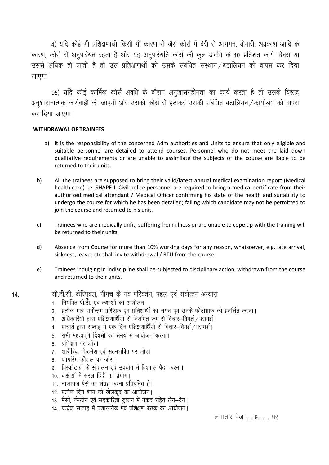4) यदि कोई भी प्रशिक्षणार्थी किसी भी कारण से जैसे कोर्स में देरी से आगमन, बीमारी, अवकाश आदि के कारण, कोर्स से अनुपस्थित रहता है और यह अनुपस्थिति कोर्स की कुल अवधि के 10 प्रतिशत कार्य दिवस या उससे अधिक हो जाती है तो उस प्रशिक्षणार्थी को उसके संबंधित संस्थान / बटालियन को वापस कर दिया जाएगा।

05) यदि कोई कार्मिक कोर्स अवधि के दौरान अनुशासनहीनता का कार्य करता है तो उसके विरूद्ध अनुशासनात्मक कार्यवाही की जाएगी और उसको कोर्स से हटाकर उसकी संबंधित बटालियन / कार्यालय को वापस कर दिया जाएगा।

#### **WITHDRAWAL OF TRAINEES**

- a) It is the responsibility of the concerned Adm authorities and Units to ensure that only eligible and suitable personnel are detailed to attend courses. Personnel who do not meet the laid down qualitative requirements or are unable to assimilate the subjects of the course are liable to be returned to their units.
- b) All the trainees are supposed to bring their valid/latest annual medical examination report (Medical health card) i.e. SHAPE-I. Civil police personnel are required to bring a medical certificate from their authorized medical attendant / Medical Officer confirming his state of the health and suitability to undergo the course for which he has been detailed; failing which candidate may not be permitted to join the course and returned to his unit.
- c) Trainees who are medically unfit, suffering from illness or are unable to cope up with the training will be returned to their units.
- d) Absence from Course for more than 10% working days for any reason, whatsoever, e.g. late arrival, sickness, leave, etc shall invite withdrawal / RTU from the course.
- e) Trainees indulging in indiscipline shall be subjected to disciplinary action, withdrawn from the course and returned to their units.

#### 14. सी.टी.सी. केरिपुबल, नीमच के नव परिवर्तन, पहल एवं सर्वोत्तम अभ्यास

- 1. नियमित पी.टी. एवं कक्षाओं का आयोजन
- 2. प्रत्येक माह सर्वोत्तम प्रशिक्षक एवं प्रशिक्षार्थी का चयन एवं उनके फोटोग्राफ को प्रदर्शित करना।
- 3. अधिकारियों द्वारा प्रशिक्षणार्थियों से नियमित रूप से विचार–विमर्श / परामर्श।
- 4. प्राचार्य द्वारा सप्ताह में एक दिन प्रशिक्षणार्थियों से विचार–विमर्श / परामर्श।
- 5. सभी महत्वपूर्ण दिवसों का समय से आयोजन करना।
- $6.$  प्रशिक्षण पर जोर।
- 7. शारीरिक फिटनेश एवं सहनशक्ति पर जोर।
- 8. फायरिंग कौशल पर जोर।
- 9. विस्फोटकों के संचालन एवं उपयोग में विश्वास पैदा करना।
- 10. कक्षाओं में सरल हिंदी का प्रयोग।
- 11. नाजायज पैसे का संग्रह करना प्रतिबंधित है।
- 12. प्रत्येक दिन शाम को खेलकूद का आयोजन।
- 13. मैसों, कैन्टीन एवं सहकारिता दुकान में नकद रहित लेन–देन।
- 14. प्रत्येक सप्ताह में प्रशासनिक एवं प्रशिक्षण बैठक का आयोजन।

yxkrkj ist---------9--------- ij